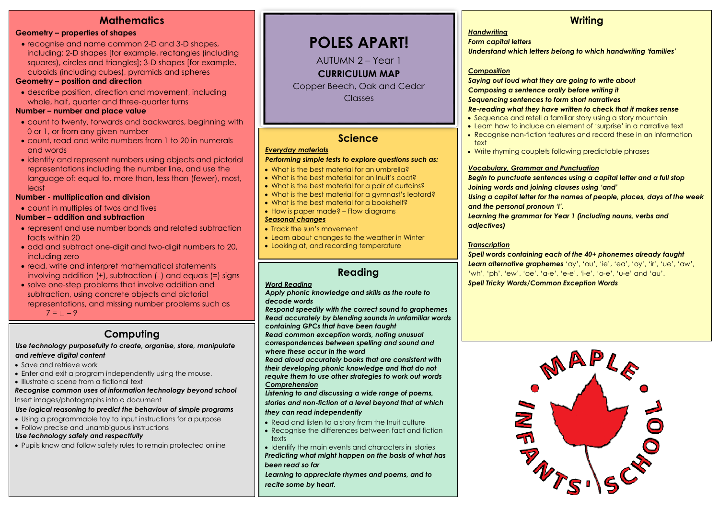## **Mathematics**

#### **Geometry – properties of shapes**

• recognise and name common 2-D and 3-D shapes, including: 2-D shapes [for example, rectangles (including squares), circles and triangles]; 3-D shapes [for example, cuboids (including cubes), pyramids and spheres

#### **Geometry – position and direction**

 describe position, direction and movement, including whole, half, quarter and three-quarter turns

#### **Number – number and place value**

- count to twenty, forwards and backwards, beginning with 0 or 1, or from any given number
- count, read and write numbers from 1 to 20 in numerals and words
- identify and represent numbers using objects and pictorial representations including the number line, and use the language of: equal to, more than, less than (fewer), most, least

#### **Number - multiplication and division**

count in multiples of twos and fives

#### **Number – addition and subtraction**

- represent and use number bonds and related subtraction facts within 20
- add and subtract one-digit and two-digit numbers to 20, including zero
- read, write and interpret mathematical statements involving addition (+), subtraction (–) and equals (=) signs
- solve one-step problems that involve addition and subtraction, using concrete objects and pictorial representations, and missing number problems such as

 $7 = \Box - 9$ 

## **Computing**

#### *Use technology purposefully to create, organise, store, manipulate and retrieve digital content*

- Save and retrieve work
- Enter and exit a program independently using the mouse.
- Illustrate a scene from a fictional text

#### *Recognise common uses of information technology beyond school* Insert images/photographs into a document

#### *Use logical reasoning to predict the behaviour of simple programs*

- Using a programmable toy to input instructions for a purpose
- Follow precise and unambiguous instructions

#### *Use technology safely and respectfully*

Pupils know and follow safety rules to remain protected online

## **POLES APART!**

AUTUMN 2 – Year 1

**CURRICULUM MAP**

Copper Beech, Oak and Cedar Classes

## **Science**

#### *Everyday materials*

#### *Performing simple tests to explore questions such as:*

- What is the best material for an umbrella?
- What is the best material for an Inuit's coat?
- What is the best material for a pair of curtains?
- What is the best material for a gymnast's leotard?
- What is the best material for a bookshelf?
- How is paper made? Flow diagrams

#### *Seasonal changes*

- Track the sun's movement
- Learn about changes to the weather in Winter
- Looking at, and recording temperature

## **Reading**

#### *Word Reading*

*Apply phonic knowledge and skills as the route to decode words*

*Respond speedily with the correct sound to graphemes Read accurately by blending sounds in unfamiliar words containing GPCs that have been taught Read common exception words, noting unusual* 

*correspondences between spelling and sound and where these occur in the word*

*Read aloud accurately books that are consistent with their developing phonic knowledge and that do not require them to use other strategies to work out words Comprehension*

*Listening to and discussing a wide range of poems, stories and non-fiction at a level beyond that at which they can read independently*

- Read and listen to a story from the Inuit culture
- Recognise the differences between fact and fiction texts

• Identify the main events and characters in stories *Predicting what might happen on the basis of what has been read so far* 

*Learning to appreciate rhymes and poems, and to recite some by heart.*

## **Writing**

#### *Handwriting*

*Form capital letters*

*Understand which letters belong to which handwriting 'families'*

#### *Composition*

*Saying out loud what they are going to write about Composing a sentence orally before writing it Sequencing sentences to form short narratives*

#### *Re-reading what they have written to check that it makes sense*

- Sequence and retell a familiar story using a story mountain
- Learn how to include an element of 'surprise' in a narrative text
- Recognise non-fiction features and record these in an information text
- Write rhyming couplets following predictable phrases

#### *Vocabulary, Grammar and Punctuation*

*Begin to punctuate sentences using a capital letter and a full stop Joining words and joining clauses using 'and'*

*Using a capital letter for the names of people, places, days of the week and the personal pronoun 'I'.*

*Learning the grammar for Year 1 (including nouns, verbs and adjectives)*

#### *Transcription*

*Spell words containing each of the 40+ phonemes already taught Learn alternative graphemes* 'ay', 'ou', 'ie', 'ea', 'oy', 'ir', 'ue', 'aw', 'wh', 'ph', 'ew', 'oe', 'a-e', 'e-e', 'i-e', 'o-e', 'u-e' and 'au'. *Spell Tricky Words/Common Exception Words*